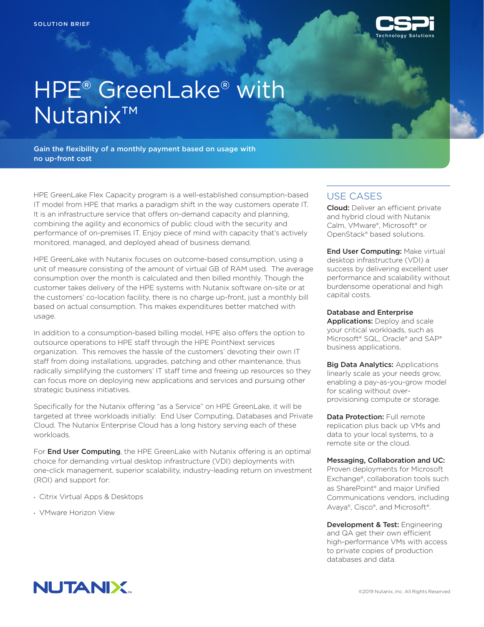

## HPE® GreenLake® with Nutanix™

Gain the flexibility of a monthly payment based on usage with no up-front cost

HPE GreenLake Flex Capacity program is a well-established consumption-based IT model from HPE that marks a paradigm shift in the way customers operate IT. It is an infrastructure service that offers on-demand capacity and planning, combining the agility and economics of public cloud with the security and performance of on-premises IT. Enjoy piece of mind with capacity that's actively monitored, managed, and deployed ahead of business demand.

HPE GreenLake with Nutanix focuses on outcome-based consumption, using a unit of measure consisting of the amount of virtual GB of RAM used. The average consumption over the month is calculated and then billed monthly. Though the customer takes delivery of the HPE systems with Nutanix software on-site or at the customers' co-location facility, there is no charge up-front, just a monthly bill based on actual consumption. This makes expenditures better matched with usage.

In addition to a consumption-based billing model, HPE also offers the option to outsource operations to HPE staff through the HPE PointNext services organization. This removes the hassle of the customers' devoting their own IT staff from doing installations, upgrades, patching and other maintenance, thus radically simplifying the customers' IT staff time and freeing up resources so they can focus more on deploying new applications and services and pursuing other strategic business initiatives.

Specifically for the Nutanix offering "as a Service" on HPE GreenLake, it will be targeted at three workloads initially: End User Computing, Databases and Private Cloud. The Nutanix Enterprise Cloud has a long history serving each of these workloads.

For **End User Computing**, the HPE GreenLake with Nutanix offering is an optimal choice for demanding virtual desktop infrastructure (VDI) deployments with one-click management, superior scalability, industry-leading return on investment (ROI) and support for:

- Citrix Virtual Apps & Desktops
- VMware Horizon View

## USE CASES

Cloud: Deliver an efficient private and hybrid cloud with Nutanix Calm, VMware®, Microsoft® or OpenStack® based solutions.

**End User Computing: Make virtual** desktop infrastructure (VDI) a success by delivering excellent user performance and scalability without burdensome operational and high capital costs.

## Database and Enterprise

Applications: Deploy and scale your critical workloads, such as Microsoft® SQL, Oracle® and SAP® business applications.

**Big Data Analytics: Applications** linearly scale as your needs grow, enabling a pay-as-you-grow model for scaling without overprovisioning compute or storage.

Data Protection: Full remote replication plus back up VMs and data to your local systems, to a remote site or the cloud.

## Messaging, Collaboration and UC:

Proven deployments for Microsoft Exchange®, collaboration tools such as SharePoint® and major Unified Communications vendors, including Avaya®, Cisco®, and Microsoft®.

Development & Test: Engineering and QA get their own efficient high-performance VMs with access to private copies of production databases and data.